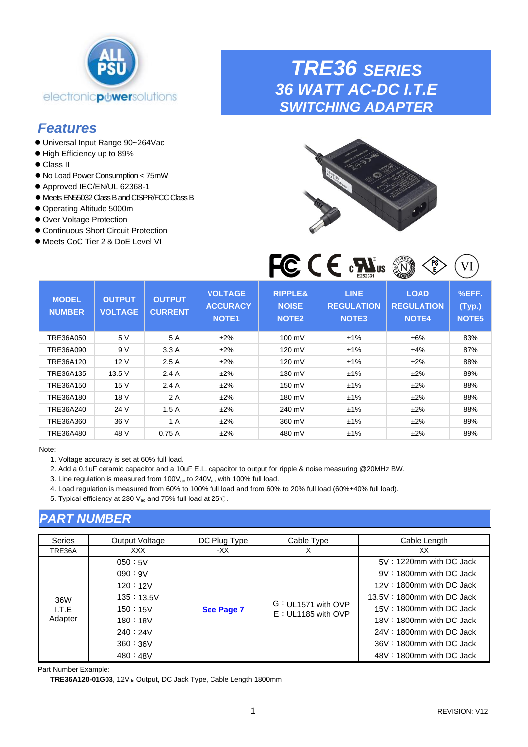<span id="page-0-0"></span>

# *Features*

- ⚫ Universal Input Range 90~264Vac
- ⚫ High Efficiency up to 89%
- ⚫ Class II
- ⚫ No Load Power Consumption < 75mW
- Approved IEC/EN/UL 62368-1
- ⚫ Meets EN55032 Class B and CISPR/FCC Class B
- ⚫ Operating Altitude 5000m
- ⚫ Over Voltage Protection
- ⚫ Continuous Short Circuit Protection
- Meets CoC Tier 2 & DoE Level VI

*TRE36 SERIES*

*36 WATT AC-DC I.T.E SWITCHING ADAPTER*



| <b>MODEL</b><br><b>NUMBER</b> | <b>OUTPUT</b><br><b>VOLTAGE</b> | <b>OUTPUT</b><br><b>CURRENT</b> | <b>VOLTAGE</b><br><b>ACCURACY</b><br><b>NOTE1</b> | <b>RIPPLE&amp;</b><br><b>NOISE</b><br>NOTE <sub>2</sub> | <b>LINE</b><br><b>REGULATION</b><br><b>NOTE3</b> | <b>LOAD</b><br><b>REGULATION</b><br><b>NOTE4</b> | %EFF.<br>(Typ.)<br>NOTE <sub>5</sub> |
|-------------------------------|---------------------------------|---------------------------------|---------------------------------------------------|---------------------------------------------------------|--------------------------------------------------|--------------------------------------------------|--------------------------------------|
| TRE36A050                     | 5 V                             | 5 A                             | ±2%                                               | 100 mV                                                  | ±1%                                              | ±6%                                              | 83%                                  |
| TRE36A090                     | 9 V                             | 3.3A                            | ±2%                                               | $120 \text{ mV}$                                        | ±1%                                              | ±4%                                              | 87%                                  |
| TRE36A120                     | 12V                             | 2.5A                            | ±2%                                               | 120 mV                                                  | ±1%                                              | ±2%                                              | 88%                                  |
| TRE36A135                     | 13.5 V                          | 2.4A                            | ±2%                                               | 130 mV                                                  | ±1%                                              | $±2\%$                                           | 89%                                  |
| TRE36A150                     | 15 V                            | 2.4A                            | ±2%                                               | 150 mV                                                  | ±1%                                              | ±2%                                              | 88%                                  |
| TRE36A180                     | 18 V                            | 2 A                             | ±2%                                               | 180 mV                                                  | ±1%                                              | $±2\%$                                           | 88%                                  |
| TRE36A240                     | 24 V                            | 1.5A                            | ±2%                                               | 240 mV                                                  | ±1%                                              | $±2\%$                                           | 88%                                  |
| TRE36A360                     | 36 V                            | 1 A                             | ±2%                                               | 360 mV                                                  | ±1%                                              | $±2\%$                                           | 89%                                  |
| TRE36A480                     | 48 V                            | 0.75A                           | ±2%                                               | 480 mV                                                  | ±1%                                              | ±2%                                              | 89%                                  |

Note:

1. Voltage accuracy is set at 60% full load.

2. Add a 0.1uF ceramic capacitor and a 10uF E.L. capacitor to output for ripple & noise measuring @20MHz BW.

3. Line regulation is measured from 100V<sub>ac</sub> to 240V<sub>ac</sub> with 100% full load.

4. Load regulation is measured from 60% to 100% full load and from 60% to 20% full load (60%±40% full load).

5. Typical efficiency at 230 V<sub>ac</sub> and 75% full load at 25℃.

### *PART NUMBER*

| Series                  | Output Voltage                                                                                    | DC Plug Type | Cable Type                                   | Cable Length                                                                                                                                                                                                                                                             |
|-------------------------|---------------------------------------------------------------------------------------------------|--------------|----------------------------------------------|--------------------------------------------------------------------------------------------------------------------------------------------------------------------------------------------------------------------------------------------------------------------------|
| TRE36A                  | XXX.                                                                                              | -XX          | X                                            | XX.                                                                                                                                                                                                                                                                      |
| 36W<br>I.T.E<br>Adapter | 050:5V<br>090:9V<br>120:12V<br>135:13.5V<br>150:15V<br>180:18V<br>240:24V<br>360 : 36V<br>480:48V | See Page 7   | $G: UL1571$ with OVP<br>$E: UL1185$ with OVP | $5V:1220$ mm with DC Jack<br>$9V:1800$ mm with DC Jack<br>12V: 1800mm with DC Jack<br>$13.5V : 1800$ mm with DC Jack<br>$15V: 1800$ mm with DC Jack<br>$18V: 1800$ mm with DC Jack<br>24V: 1800mm with DC Jack<br>$36V:1800$ mm with DC Jack<br>48V: 1800mm with DC Jack |

Part Number Example:

TRE36A120-01G03, 12V<sub>dc</sub> Output, DC Jack Type, Cable Length 1800mm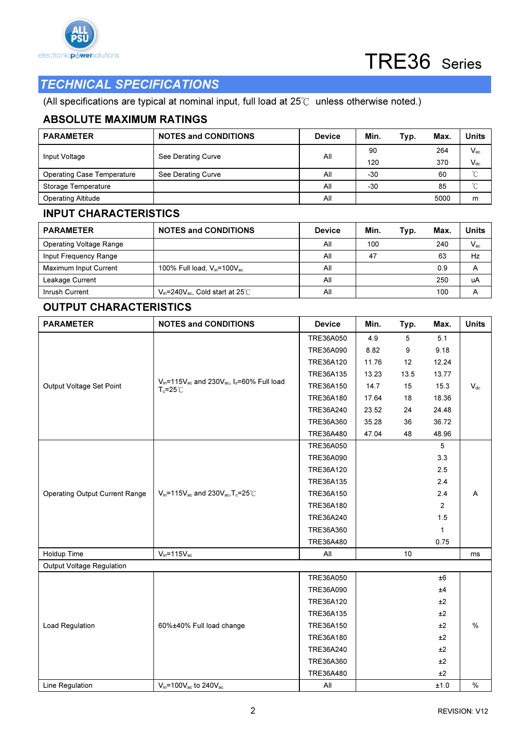



### TECHNICAL SPECIFICATIONS

(All specifications are typical at nominal input, full load at 25℃ unless otherwise noted.)

### ABSOLUTE MAXIMUM RATINGS

| <b>PARAMETER</b>                  | <b>NOTES and CONDITIONS</b> | <b>Device</b> | Min.  | Typ. | Max. | Units    |
|-----------------------------------|-----------------------------|---------------|-------|------|------|----------|
|                                   | See Derating Curve          | All           | 90    |      | 264  | $V_{ac}$ |
| Input Voltage                     |                             |               | 120   |      | 370  | $V_{dc}$ |
| <b>Operating Case Temperature</b> | See Derating Curve          | All           | $-30$ |      | 60   | $\sim$   |
| Storage Temperature               |                             | All           | $-30$ |      | 85   | $\sim$   |
| <b>Operating Altitude</b>         |                             | All           |       |      | 5000 | m        |

#### INPUT CHARACTERISTICS

| <b>PARAMETER</b>               | <b>NOTES and CONDITIONS</b>                 | <b>Device</b> | Min. | Typ. | Max. | Units        |
|--------------------------------|---------------------------------------------|---------------|------|------|------|--------------|
| <b>Operating Voltage Range</b> |                                             | All           | 100  |      | 240  | $V_{\rm ac}$ |
| Input Frequency Range          |                                             | All           | 47   |      | 63   | Hz           |
| Maximum Input Current          | 100% Full load, $V_{in}$ =100 $V_{ac}$      | All           |      |      | 0.9  | А            |
| Leakage Current                |                                             | All           |      |      | 250  | uA           |
| Inrush Current                 | $V_{in}$ =240 $V_{ac}$ , Cold start at 25°C | All           |      |      | 100  | Α            |

### OUTPUT CHARACTERISTICS

| <b>PARAMETER</b>                      | <b>NOTES and CONDITIONS</b>                                                                                      | <b>Device</b> | Min.  | Typ. | Max.           | <b>Units</b>  |
|---------------------------------------|------------------------------------------------------------------------------------------------------------------|---------------|-------|------|----------------|---------------|
|                                       |                                                                                                                  | TRE36A050     | 4.9   | 5    | 5.1            |               |
|                                       |                                                                                                                  | TRE36A090     | 8.82  | 9    | 9.18           |               |
|                                       |                                                                                                                  | TRE36A120     | 11.76 | 12   | 12.24          |               |
|                                       |                                                                                                                  | TRE36A135     | 13.23 | 13.5 | 13.77          |               |
| Output Voltage Set Point              | V <sub>in</sub> =115V <sub>ac</sub> and 230V <sub>ac</sub> , I <sub>o</sub> =60% Full load<br>$T_c = 25^\circ C$ | TRE36A150     | 14.7  | 15   | 15.3           | $V_{dc}$      |
|                                       |                                                                                                                  | TRE36A180     | 17.64 | 18   | 18.36          |               |
|                                       |                                                                                                                  | TRE36A240     | 23.52 | 24   | 24.48          |               |
|                                       |                                                                                                                  | TRE36A360     | 35.28 | 36   | 36.72          |               |
|                                       |                                                                                                                  | TRE36A480     | 47.04 | 48   | 48.96          |               |
|                                       |                                                                                                                  | TRE36A050     |       |      | 5              |               |
|                                       |                                                                                                                  | TRE36A090     |       |      | 3.3            |               |
|                                       | $V_{in}$ =115 $V_{ac}$ and 230 $V_{ac}$ , T <sub>c</sub> =25 $°C$                                                | TRE36A120     |       |      | 2.5            |               |
|                                       |                                                                                                                  | TRE36A135     |       |      | 2.4            |               |
| <b>Operating Output Current Range</b> |                                                                                                                  | TRE36A150     |       |      | 2.4            | A             |
|                                       |                                                                                                                  | TRE36A180     |       |      | $\overline{2}$ |               |
|                                       |                                                                                                                  | TRE36A240     |       |      | 1.5            |               |
|                                       |                                                                                                                  | TRE36A360     |       |      | $\mathbf{1}$   |               |
|                                       |                                                                                                                  | TRE36A480     |       |      | 0.75           |               |
| Holdup Time                           | $V_{in} = 115V_{ac}$                                                                                             | All           |       | 10   |                | ms            |
| Output Voltage Regulation             |                                                                                                                  |               |       |      |                |               |
|                                       |                                                                                                                  | TRE36A050     |       |      | ±6             |               |
|                                       |                                                                                                                  | TRE36A090     |       |      | ±4             |               |
|                                       |                                                                                                                  | TRE36A120     |       |      | ±2             |               |
|                                       |                                                                                                                  | TRE36A135     |       |      | ±2             |               |
| Load Regulation                       | 60%±40% Full load change                                                                                         | TRE36A150     |       |      | ±2             | $\%$          |
|                                       |                                                                                                                  | TRE36A180     |       |      | ±2             |               |
|                                       |                                                                                                                  | TRE36A240     |       |      | ±2             |               |
|                                       |                                                                                                                  | TRE36A360     |       |      | ±2             |               |
|                                       |                                                                                                                  | TRE36A480     |       |      | ±2             |               |
| Line Regulation                       | $V_{in}$ =100 $V_{ac}$ to 240 $V_{ac}$                                                                           | All           |       |      | ±1.0           | $\frac{0}{0}$ |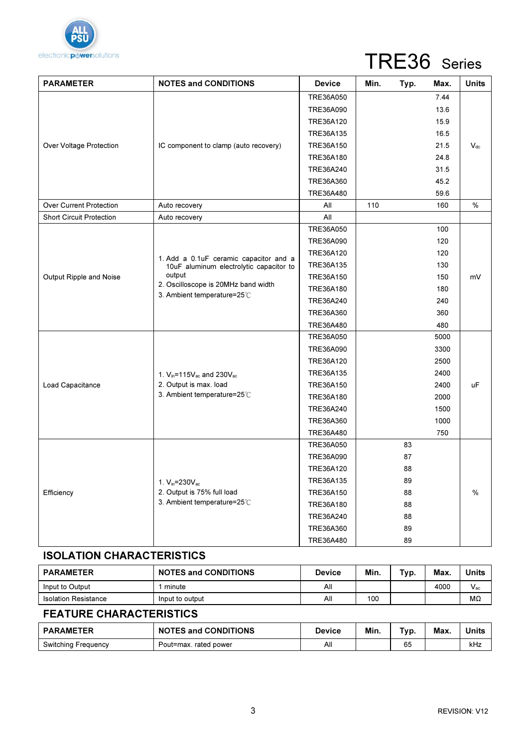

# TRE36 Series

| <b>PARAMETER</b>                | <b>NOTES and CONDITIONS</b>                                                                                             | <b>Device</b> | Min. | Typ. | Max. | <b>Units</b>               |
|---------------------------------|-------------------------------------------------------------------------------------------------------------------------|---------------|------|------|------|----------------------------|
|                                 |                                                                                                                         | TRE36A050     |      |      | 7.44 |                            |
|                                 |                                                                                                                         | TRE36A090     |      |      | 13.6 |                            |
|                                 |                                                                                                                         | TRE36A120     |      |      | 15.9 |                            |
|                                 |                                                                                                                         | TRE36A135     |      |      | 16.5 |                            |
| Over Voltage Protection         | IC component to clamp (auto recovery)                                                                                   | TRE36A150     |      |      | 21.5 | $\mathsf{V}_{\mathsf{dc}}$ |
|                                 |                                                                                                                         | TRE36A180     |      |      | 24.8 |                            |
|                                 |                                                                                                                         | TRE36A240     |      |      | 31.5 |                            |
|                                 |                                                                                                                         | TRE36A360     |      |      | 45.2 |                            |
|                                 |                                                                                                                         | TRE36A480     |      |      | 59.6 |                            |
| <b>Over Current Protection</b>  | Auto recovery                                                                                                           | All           | 110  |      | 160  | %                          |
| <b>Short Circuit Protection</b> | Auto recovery                                                                                                           | All           |      |      |      |                            |
|                                 |                                                                                                                         | TRE36A050     |      |      | 100  |                            |
|                                 |                                                                                                                         | TRE36A090     |      |      | 120  |                            |
|                                 | 1. Add a 0.1uF ceramic capacitor and a                                                                                  | TRE36A120     |      |      | 120  |                            |
|                                 | 10uF aluminum electrolytic capacitor to<br>output<br>2. Oscilloscope is 20MHz band width<br>3. Ambient temperature=25°C | TRE36A135     |      |      | 130  |                            |
| Output Ripple and Noise         |                                                                                                                         | TRE36A150     |      |      | 150  | mV                         |
|                                 |                                                                                                                         | TRE36A180     |      |      | 180  |                            |
|                                 |                                                                                                                         | TRE36A240     |      |      | 240  |                            |
|                                 |                                                                                                                         | TRE36A360     |      |      | 360  |                            |
|                                 |                                                                                                                         | TRE36A480     |      |      | 480  |                            |
|                                 |                                                                                                                         | TRE36A050     |      |      | 5000 |                            |
|                                 |                                                                                                                         | TRE36A090     |      |      | 3300 |                            |
|                                 |                                                                                                                         | TRE36A120     |      |      | 2500 |                            |
|                                 | 1. V <sub>in</sub> =115V <sub>ac</sub> and 230V <sub>ac</sub>                                                           | TRE36A135     |      |      | 2400 |                            |
| Load Capacitance                | 2. Output is max. load                                                                                                  | TRE36A150     |      |      | 2400 | uF                         |
|                                 | 3. Ambient temperature=25°C                                                                                             | TRE36A180     |      |      | 2000 |                            |
|                                 |                                                                                                                         | TRE36A240     |      |      | 1500 |                            |
|                                 |                                                                                                                         | TRE36A360     |      |      | 1000 |                            |
|                                 |                                                                                                                         | TRE36A480     |      |      | 750  |                            |
|                                 |                                                                                                                         | TRE36A050     |      | 83   |      |                            |
|                                 |                                                                                                                         | TRE36A090     |      | 87   |      |                            |
|                                 |                                                                                                                         | TRE36A120     |      | 88   |      |                            |
|                                 | 1. $V_{in} = 230V_{ac}$                                                                                                 | TRE36A135     |      | 89   |      |                            |
| Efficiency                      | 2. Output is 75% full load                                                                                              | TRE36A150     |      | 88   |      | $\%$                       |
|                                 | 3. Ambient temperature=25°C                                                                                             | TRE36A180     |      | 88   |      |                            |
|                                 |                                                                                                                         | TRE36A240     |      | 88   |      |                            |
|                                 |                                                                                                                         | TRE36A360     |      | 89   |      |                            |
|                                 |                                                                                                                         | TRE36A480     |      | 89   |      |                            |

### ISOLATION CHARACTERISTICS

| <b>PARAMETER</b>            | <b>NOTES and CONDITIONS</b> | Device | Min. | Typ. | Max  | <b>Units</b> |
|-----------------------------|-----------------------------|--------|------|------|------|--------------|
| Input to Output             | minute                      | All    |      |      | 4000 | $V_{ac}$     |
| <b>Isolation Resistance</b> | Input to output             | All    | 100  |      |      | MΩ           |

### FEATURE CHARACTERISTICS

| <b>PARAMETER</b>           | <b>NOTES and CONDITIONS</b> | Device | Min. | $T_V p.$ | Max | Units |
|----------------------------|-----------------------------|--------|------|----------|-----|-------|
| <b>Switching Frequency</b> | Pout=max. rated power       | Αll    |      | 65       |     | kHz   |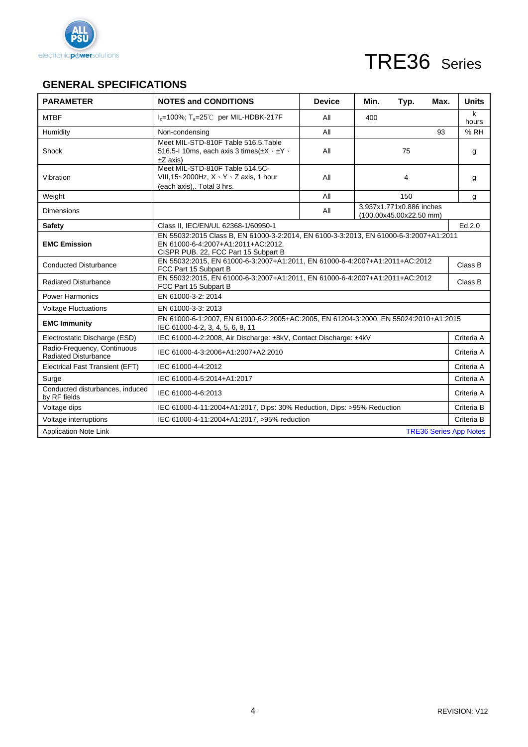

# TRE36 Series

### **GENERAL SPECIFICATIONS**

| <b>PARAMETER</b>                                           | <b>NOTES and CONDITIONS</b>                                                                                                                                         | <b>Device</b>                                                               | Min. | Typ.                                                | Max. | <b>Units</b> |  |
|------------------------------------------------------------|---------------------------------------------------------------------------------------------------------------------------------------------------------------------|-----------------------------------------------------------------------------|------|-----------------------------------------------------|------|--------------|--|
| <b>MTBF</b>                                                | $I_0 = 100\%$ ; T <sub>a</sub> =25°C per MIL-HDBK-217F                                                                                                              | All                                                                         | 400  |                                                     |      | k<br>hours   |  |
| Humidity                                                   | Non-condensing                                                                                                                                                      | All                                                                         |      |                                                     | 93   | % RH         |  |
| Shock                                                      | Meet MIL-STD-810F Table 516.5, Table<br>516.5-1 10ms, each axis 3 times $(\pm X \cdot \pm Y \cdot$<br>$\pm Z$ axis)                                                 | All                                                                         |      |                                                     | g    |              |  |
| Vibration                                                  | Meet MIL-STD-810F Table 514.5C-<br>VIII, 15~2000 Hz, $X \cdot Y \cdot Z$ axis, 1 hour<br>(each axis) Total 3 hrs.                                                   | All                                                                         |      | 4                                                   |      | g            |  |
| Weight                                                     |                                                                                                                                                                     | All                                                                         |      | 150                                                 |      | g            |  |
| <b>Dimensions</b>                                          |                                                                                                                                                                     | All                                                                         |      | 3.937x1.771x0.886 inches<br>(100.00x45.00x22.50 mm) |      |              |  |
| <b>Safety</b>                                              | Class II, IEC/EN/UL 62368-1/60950-1                                                                                                                                 |                                                                             |      |                                                     |      | Ed.2.0       |  |
| <b>EMC Emission</b>                                        | EN 55032:2015 Class B, EN 61000-3-2:2014, EN 6100-3-3:2013, EN 61000-6-3:2007+A1:2011<br>EN 61000-6-4:2007+A1:2011+AC:2012.<br>CISPR PUB. 22, FCC Part 15 Subpart B |                                                                             |      |                                                     |      |              |  |
| <b>Conducted Disturbance</b>                               | EN 55032:2015, EN 61000-6-3:2007+A1:2011, EN 61000-6-4:2007+A1:2011+AC:2012<br>FCC Part 15 Subpart B                                                                |                                                                             |      |                                                     |      |              |  |
| <b>Radiated Disturbance</b>                                | FCC Part 15 Subpart B                                                                                                                                               | EN 55032:2015, EN 61000-6-3:2007+A1:2011, EN 61000-6-4:2007+A1:2011+AC:2012 |      |                                                     |      |              |  |
| <b>Power Harmonics</b>                                     | EN 61000-3-2: 2014                                                                                                                                                  |                                                                             |      |                                                     |      |              |  |
| <b>Voltage Fluctuations</b>                                | EN 61000-3-3: 2013                                                                                                                                                  |                                                                             |      |                                                     |      |              |  |
| <b>EMC Immunity</b>                                        | EN 61000-6-1:2007, EN 61000-6-2:2005+AC:2005, EN 61204-3:2000, EN 55024:2010+A1:2015<br>IEC 61000-4-2, 3, 4, 5, 6, 8, 11                                            |                                                                             |      |                                                     |      |              |  |
| Electrostatic Discharge (ESD)                              | IEC 61000-4-2:2008, Air Discharge: ±8kV, Contact Discharge: ±4kV                                                                                                    |                                                                             |      |                                                     |      | Criteria A   |  |
| Radio-Frequency, Continuous<br><b>Radiated Disturbance</b> | IEC 61000-4-3:2006+A1:2007+A2:2010                                                                                                                                  |                                                                             |      |                                                     |      | Criteria A   |  |
| Electrical Fast Transient (EFT)                            | IEC 61000-4-4:2012                                                                                                                                                  |                                                                             |      |                                                     |      | Criteria A   |  |
| Surge                                                      | IEC 61000-4-5:2014+A1:2017                                                                                                                                          |                                                                             |      |                                                     |      | Criteria A   |  |
| Conducted disturbances, induced<br>by RF fields            | IEC 61000-4-6:2013                                                                                                                                                  |                                                                             |      |                                                     |      |              |  |
| Voltage dips                                               | IEC 61000-4-11:2004+A1:2017, Dips: 30% Reduction, Dips: >95% Reduction                                                                                              |                                                                             |      |                                                     |      |              |  |
| Voltage interruptions                                      | IEC 61000-4-11:2004+A1:2017, >95% reduction<br>Criteria B                                                                                                           |                                                                             |      |                                                     |      |              |  |
| Application Note Link<br><b>TRE36 Series App Notes</b>     |                                                                                                                                                                     |                                                                             |      |                                                     |      |              |  |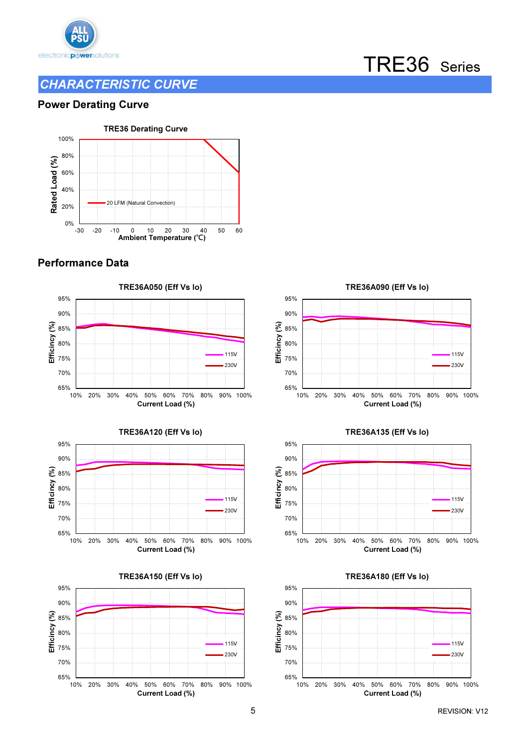

### CHARACTERISTIC CURVE

# TRE36 Series

#### Power Derating Curve



### Performance Data









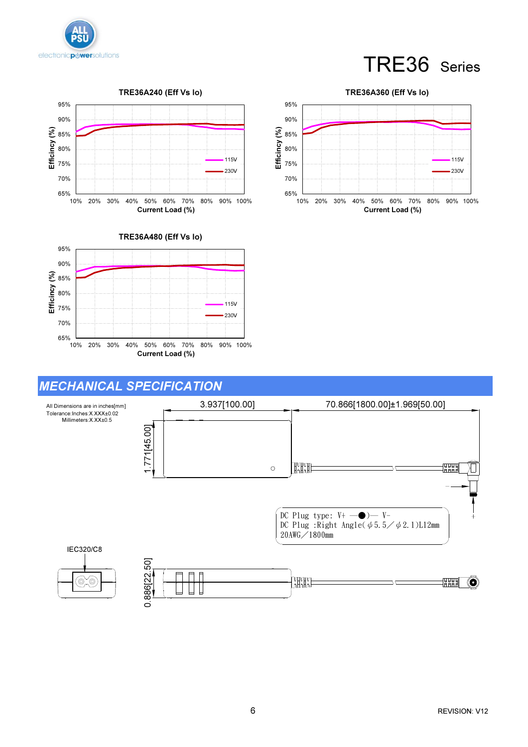

# TRE36 Series





# MECHANICAL SPECIFICATION



Efficincy (%)

#### 70% 75% 80% 85% 90% 95% TRE36A360 (Eff Vs Io) 115V 230V